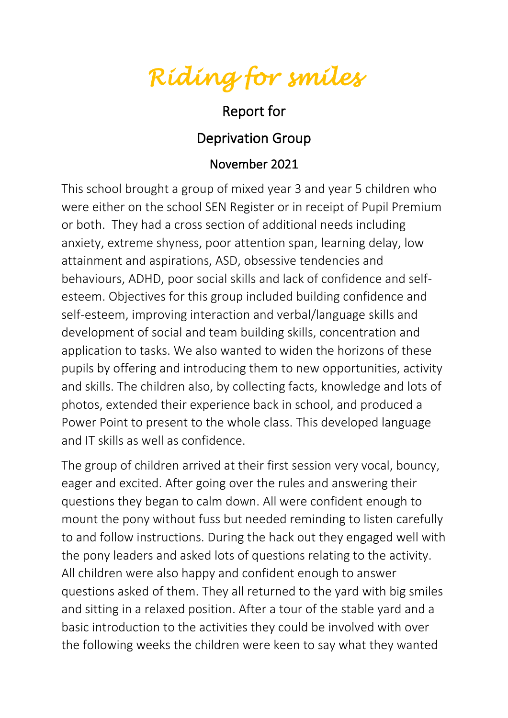*Riding for smiles* 

## Report for

## Deprivation Group

## November 2021

This school brought a group of mixed year 3 and year 5 children who were either on the school SEN Register or in receipt of Pupil Premium or both. They had a cross section of additional needs including anxiety, extreme shyness, poor attention span, learning delay, low attainment and aspirations, ASD, obsessive tendencies and behaviours, ADHD, poor social skills and lack of confidence and selfesteem. Objectives for this group included building confidence and self-esteem, improving interaction and verbal/language skills and development of social and team building skills, concentration and application to tasks. We also wanted to widen the horizons of these pupils by offering and introducing them to new opportunities, activity and skills. The children also, by collecting facts, knowledge and lots of photos, extended their experience back in school, and produced a Power Point to present to the whole class. This developed language and IT skills as well as confidence.

The group of children arrived at their first session very vocal, bouncy, eager and excited. After going over the rules and answering their questions they began to calm down. All were confident enough to mount the pony without fuss but needed reminding to listen carefully to and follow instructions. During the hack out they engaged well with the pony leaders and asked lots of questions relating to the activity. All children were also happy and confident enough to answer questions asked of them. They all returned to the yard with big smiles and sitting in a relaxed position. After a tour of the stable yard and a basic introduction to the activities they could be involved with over the following weeks the children were keen to say what they wanted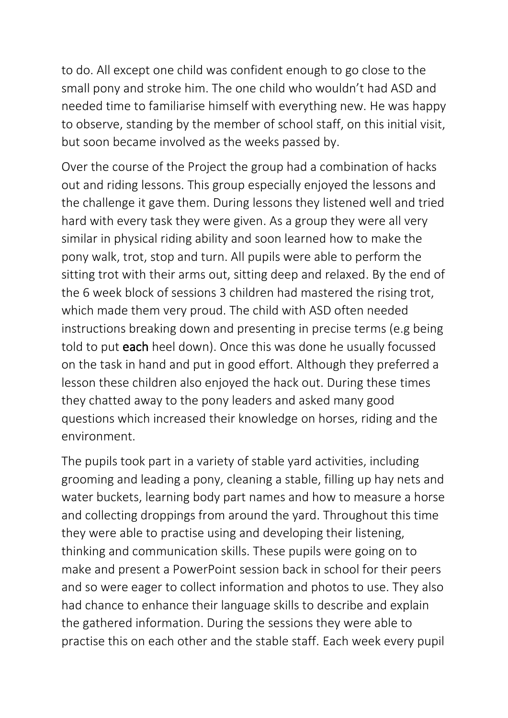to do. All except one child was confident enough to go close to the small pony and stroke him. The one child who wouldn't had ASD and needed time to familiarise himself with everything new. He was happy to observe, standing by the member of school staff, on this initial visit, but soon became involved as the weeks passed by.

Over the course of the Project the group had a combination of hacks out and riding lessons. This group especially enjoyed the lessons and the challenge it gave them. During lessons they listened well and tried hard with every task they were given. As a group they were all very similar in physical riding ability and soon learned how to make the pony walk, trot, stop and turn. All pupils were able to perform the sitting trot with their arms out, sitting deep and relaxed. By the end of the 6 week block of sessions 3 children had mastered the rising trot, which made them very proud. The child with ASD often needed instructions breaking down and presenting in precise terms (e.g being told to put each heel down). Once this was done he usually focussed on the task in hand and put in good effort. Although they preferred a lesson these children also enjoyed the hack out. During these times they chatted away to the pony leaders and asked many good questions which increased their knowledge on horses, riding and the environment.

The pupils took part in a variety of stable yard activities, including grooming and leading a pony, cleaning a stable, filling up hay nets and water buckets, learning body part names and how to measure a horse and collecting droppings from around the yard. Throughout this time they were able to practise using and developing their listening, thinking and communication skills. These pupils were going on to make and present a PowerPoint session back in school for their peers and so were eager to collect information and photos to use. They also had chance to enhance their language skills to describe and explain the gathered information. During the sessions they were able to practise this on each other and the stable staff. Each week every pupil